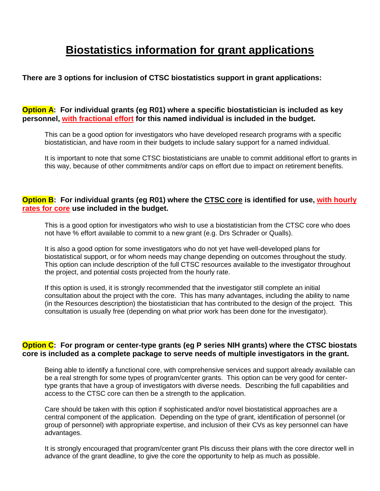# **Biostatistics information for grant applications**

# **There are 3 options for inclusion of CTSC biostatistics support in grant applications:**

**Option A: For individual grants (eg R01) where a specific biostatistician is included as key personnel, with fractional effort for this named individual is included in the budget.** 

This can be a good option for investigators who have developed research programs with a specific biostatistician, and have room in their budgets to include salary support for a named individual.

It is important to note that some CTSC biostatisticians are unable to commit additional effort to grants in this way, because of other commitments and/or caps on effort due to impact on retirement benefits.

# **Option B: For individual grants (eg R01) where the CTSC core is identified for use, with hourly rates for core use included in the budget.**

This is a good option for investigators who wish to use a biostatistician from the CTSC core who does not have % effort available to commit to a new grant (e.g. Drs Schrader or Qualls).

It is also a good option for some investigators who do not yet have well-developed plans for biostatistical support, or for whom needs may change depending on outcomes throughout the study. This option can include description of the full CTSC resources available to the investigator throughout the project, and potential costs projected from the hourly rate.

If this option is used, it is strongly recommended that the investigator still complete an initial consultation about the project with the core. This has many advantages, including the ability to name (in the Resources description) the biostatistician that has contributed to the design of the project. This consultation is usually free (depending on what prior work has been done for the investigator).

# **Option C: For program or center-type grants (eg P series NIH grants) where the CTSC biostats core is included as a complete package to serve needs of multiple investigators in the grant.**

Being able to identify a functional core, with comprehensive services and support already available can be a real strength for some types of program/center grants. This option can be very good for centertype grants that have a group of investigators with diverse needs. Describing the full capabilities and access to the CTSC core can then be a strength to the application.

Care should be taken with this option if sophisticated and/or novel biostatistical approaches are a central component of the application. Depending on the type of grant, identification of personnel (or group of personnel) with appropriate expertise, and inclusion of their CVs as key personnel can have advantages.

It is strongly encouraged that program/center grant PIs discuss their plans with the core director well in advance of the grant deadline, to give the core the opportunity to help as much as possible.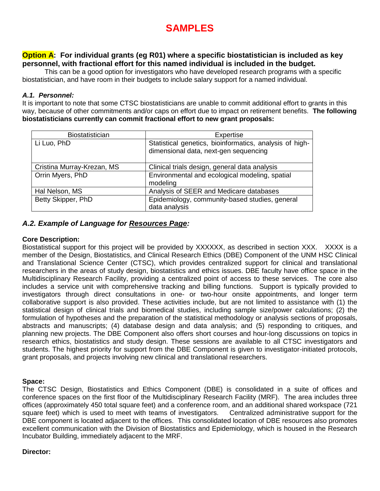# **SAMPLES**

# **Option A: For individual grants (eg R01) where a specific biostatistician is included as key personnel, with fractional effort for this named individual is included in the budget.**

This can be a good option for investigators who have developed research programs with a specific biostatistician, and have room in their budgets to include salary support for a named individual.

## *A.1. Personnel:*

It is important to note that some CTSC biostatisticians are unable to commit additional effort to grants in this way, because of other commitments and/or caps on effort due to impact on retirement benefits. **The following biostatisticians currently can commit fractional effort to new grant proposals:**

| <b>Biostatistician</b>     | Expertise                                                                                        |
|----------------------------|--------------------------------------------------------------------------------------------------|
| Li Luo, PhD                | Statistical genetics, bioinformatics, analysis of high-<br>dimensional data, next-gen sequencing |
| Cristina Murray-Krezan, MS | Clinical trials design, general data analysis                                                    |
| Orrin Myers, PhD           | Environmental and ecological modeling, spatial<br>modeling                                       |
| Hal Nelson, MS             | Analysis of SEER and Medicare databases                                                          |
| Betty Skipper, PhD         | Epidemiology, community-based studies, general<br>data analysis                                  |

## *A.2. Example of Language for Resources Page:*

## **Core Description:**

Biostatistical support for this project will be provided by XXXXXX, as described in section XXX. XXXX is a member of the Design, Biostatistics, and Clinical Research Ethics (DBE) Component of the UNM HSC Clinical and Translational Science Center (CTSC), which provides centralized support for clinical and translational researchers in the areas of study design, biostatistics and ethics issues. DBE faculty have office space in the Multidisciplinary Research Facility, providing a centralized point of access to these services. The core also includes a service unit with comprehensive tracking and billing functions. Support is typically provided to investigators through direct consultations in one- or two-hour onsite appointments, and longer term collaborative support is also provided. These activities include, but are not limited to assistance with (1) the statistical design of clinical trials and biomedical studies, including sample size/power calculations; (2) the formulation of hypotheses and the preparation of the statistical methodology or analysis sections of proposals, abstracts and manuscripts; (4) database design and data analysis; and (5) responding to critiques, and planning new projects. The DBE Component also offers short courses and hour-long discussions on topics in research ethics, biostatistics and study design. These sessions are available to all CTSC investigators and students. The highest priority for support from the DBE Component is given to investigator-initiated protocols, grant proposals, and projects involving new clinical and translational researchers.

#### **Space:**

The CTSC Design, Biostatistics and Ethics Component (DBE) is consolidated in a suite of offices and conference spaces on the first floor of the Multidisciplinary Research Facility (MRF). The area includes three offices (approximately 450 total square feet) and a conference room, and an additional shared workspace (721 square feet) which is used to meet with teams of investigators. Centralized administrative support for the DBE component is located adjacent to the offices. This consolidated location of DBE resources also promotes excellent communication with the Division of Biostatistics and Epidemiology, which is housed in the Research Incubator Building, immediately adjacent to the MRF.

#### **Director:**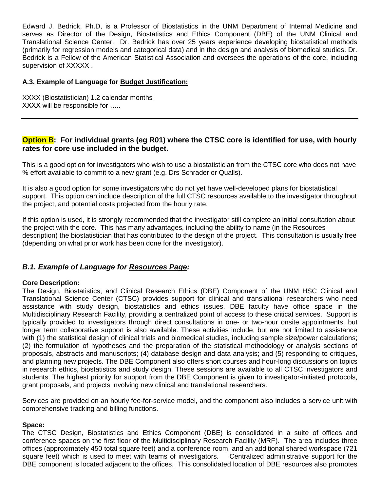Edward J. Bedrick, Ph.D, is a Professor of Biostatistics in the UNM Department of Internal Medicine and serves as Director of the Design, Biostatistics and Ethics Component (DBE) of the UNM Clinical and Translational Science Center. Dr. Bedrick has over 25 years experience developing biostatistical methods (primarily for regression models and categorical data) and in the design and analysis of biomedical studies. Dr. Bedrick is a Fellow of the American Statistical Association and oversees the operations of the core, including supervision of XXXXX .

## **A.3. Example of Language for Budget Justification:**

XXXX (Biostatistician) 1.2 calendar months XXXX will be responsible for .....

# **Option B:** For individual grants (eg R01) where the CTSC core is identified for use, with hourly **rates for core use included in the budget.**

This is a good option for investigators who wish to use a biostatistician from the CTSC core who does not have % effort available to commit to a new grant (e.g. Drs Schrader or Qualls).

It is also a good option for some investigators who do not yet have well-developed plans for biostatistical support. This option can include description of the full CTSC resources available to the investigator throughout the project, and potential costs projected from the hourly rate.

If this option is used, it is strongly recommended that the investigator still complete an initial consultation about the project with the core. This has many advantages, including the ability to name (in the Resources description) the biostatistician that has contributed to the design of the project. This consultation is usually free (depending on what prior work has been done for the investigator).

# *B.1. Example of Language for Resources Page:*

## **Core Description:**

The Design, Biostatistics, and Clinical Research Ethics (DBE) Component of the UNM HSC Clinical and Translational Science Center (CTSC) provides support for clinical and translational researchers who need assistance with study design, biostatistics and ethics issues. DBE faculty have office space in the Multidisciplinary Research Facility, providing a centralized point of access to these critical services. Support is typically provided to investigators through direct consultations in one- or two-hour onsite appointments, but longer term collaborative support is also available. These activities include, but are not limited to assistance with (1) the statistical design of clinical trials and biomedical studies, including sample size/power calculations; (2) the formulation of hypotheses and the preparation of the statistical methodology or analysis sections of proposals, abstracts and manuscripts; (4) database design and data analysis; and (5) responding to critiques, and planning new projects. The DBE Component also offers short courses and hour-long discussions on topics in research ethics, biostatistics and study design. These sessions are available to all CTSC investigators and students. The highest priority for support from the DBE Component is given to investigator-initiated protocols, grant proposals, and projects involving new clinical and translational researchers.

Services are provided on an hourly fee-for-service model, and the component also includes a service unit with comprehensive tracking and billing functions.

## **Space:**

The CTSC Design, Biostatistics and Ethics Component (DBE) is consolidated in a suite of offices and conference spaces on the first floor of the Multidisciplinary Research Facility (MRF). The area includes three offices (approximately 450 total square feet) and a conference room, and an additional shared workspace (721 square feet) which is used to meet with teams of investigators. Centralized administrative support for the DBE component is located adjacent to the offices. This consolidated location of DBE resources also promotes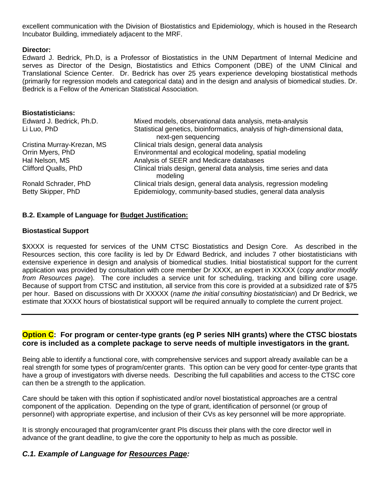excellent communication with the Division of Biostatistics and Epidemiology, which is housed in the Research Incubator Building, immediately adjacent to the MRF.

## **Director:**

Edward J. Bedrick, Ph.D, is a Professor of Biostatistics in the UNM Department of Internal Medicine and serves as Director of the Design, Biostatistics and Ethics Component (DBE) of the UNM Clinical and Translational Science Center. Dr. Bedrick has over 25 years experience developing biostatistical methods (primarily for regression models and categorical data) and in the design and analysis of biomedical studies. Dr. Bedrick is a Fellow of the American Statistical Association.

| <b>Biostatisticians:</b>    |                                                                                                 |
|-----------------------------|-------------------------------------------------------------------------------------------------|
| Edward J. Bedrick, Ph.D.    | Mixed models, observational data analysis, meta-analysis                                        |
| Li Luo, PhD                 | Statistical genetics, bioinformatics, analysis of high-dimensional data,<br>next-gen sequencing |
| Cristina Murray-Krezan, MS  | Clinical trials design, general data analysis                                                   |
| Orrin Myers, PhD            | Environmental and ecological modeling, spatial modeling                                         |
| Hal Nelson, MS              | Analysis of SEER and Medicare databases                                                         |
| <b>Clifford Qualls, PhD</b> | Clinical trials design, general data analysis, time series and data<br>modeling                 |
| Ronald Schrader, PhD        | Clinical trials design, general data analysis, regression modeling                              |
| Betty Skipper, PhD          | Epidemiology, community-based studies, general data analysis                                    |

## **B.2. Example of Language for Budget Justification:**

#### **Biostastical Support**

\$XXXX is requested for services of the UNM CTSC Biostatistics and Design Core. As described in the Resources section, this core facility is led by Dr Edward Bedrick, and includes 7 other biostatisticians with extensive experience in design and analysis of biomedical studies. Initial biostatistical support for the current application was provided by consultation with core member Dr XXXX, an expert in XXXXX (*copy and/or modify from Resources page*). The core includes a service unit for scheduling, tracking and billing core usage. Because of support from CTSC and institution, all service from this core is provided at a subsidized rate of \$75 per hour. Based on discussions with Dr XXXXX (*name the initial consulting biostatistician*) and Dr Bedrick, we estimate that XXXX hours of biostatistical support will be required annually to complete the current project.

## **Option C: For program or center-type grants (eg P series NIH grants) where the CTSC biostats core is included as a complete package to serve needs of multiple investigators in the grant.**

Being able to identify a functional core, with comprehensive services and support already available can be a real strength for some types of program/center grants. This option can be very good for center-type grants that have a group of investigators with diverse needs. Describing the full capabilities and access to the CTSC core can then be a strength to the application.

Care should be taken with this option if sophisticated and/or novel biostatistical approaches are a central component of the application. Depending on the type of grant, identification of personnel (or group of personnel) with appropriate expertise, and inclusion of their CVs as key personnel will be more appropriate.

It is strongly encouraged that program/center grant PIs discuss their plans with the core director well in advance of the grant deadline, to give the core the opportunity to help as much as possible.

## *C.1. Example of Language for Resources Page:*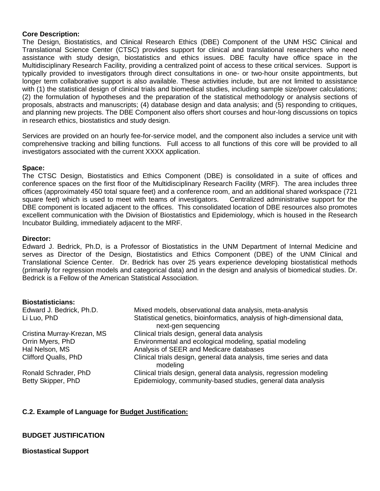#### **Core Description:**

The Design, Biostatistics, and Clinical Research Ethics (DBE) Component of the UNM HSC Clinical and Translational Science Center (CTSC) provides support for clinical and translational researchers who need assistance with study design, biostatistics and ethics issues. DBE faculty have office space in the Multidisciplinary Research Facility, providing a centralized point of access to these critical services. Support is typically provided to investigators through direct consultations in one- or two-hour onsite appointments, but longer term collaborative support is also available. These activities include, but are not limited to assistance with (1) the statistical design of clinical trials and biomedical studies, including sample size/power calculations; (2) the formulation of hypotheses and the preparation of the statistical methodology or analysis sections of proposals, abstracts and manuscripts; (4) database design and data analysis; and (5) responding to critiques, and planning new projects. The DBE Component also offers short courses and hour-long discussions on topics in research ethics, biostatistics and study design.

Services are provided on an hourly fee-for-service model, and the component also includes a service unit with comprehensive tracking and billing functions. Full access to all functions of this core will be provided to all investigators associated with the current XXXX application.

#### **Space:**

The CTSC Design, Biostatistics and Ethics Component (DBE) is consolidated in a suite of offices and conference spaces on the first floor of the Multidisciplinary Research Facility (MRF). The area includes three offices (approximately 450 total square feet) and a conference room, and an additional shared workspace (721 square feet) which is used to meet with teams of investigators. Centralized administrative support for the DBE component is located adjacent to the offices. This consolidated location of DBE resources also promotes excellent communication with the Division of Biostatistics and Epidemiology, which is housed in the Research Incubator Building, immediately adjacent to the MRF.

#### **Director:**

Edward J. Bedrick, Ph.D, is a Professor of Biostatistics in the UNM Department of Internal Medicine and serves as Director of the Design, Biostatistics and Ethics Component (DBE) of the UNM Clinical and Translational Science Center. Dr. Bedrick has over 25 years experience developing biostatistical methods (primarily for regression models and categorical data) and in the design and analysis of biomedical studies. Dr. Bedrick is a Fellow of the American Statistical Association.

#### **Biostatisticians:**

| Edward J. Bedrick, Ph.D.    | Mixed models, observational data analysis, meta-analysis                                        |
|-----------------------------|-------------------------------------------------------------------------------------------------|
| Li Luo, PhD                 | Statistical genetics, bioinformatics, analysis of high-dimensional data,<br>next-gen sequencing |
| Cristina Murray-Krezan, MS  | Clinical trials design, general data analysis                                                   |
| Orrin Myers, PhD            | Environmental and ecological modeling, spatial modeling                                         |
| Hal Nelson, MS              | Analysis of SEER and Medicare databases                                                         |
| <b>Clifford Qualls, PhD</b> | Clinical trials design, general data analysis, time series and data<br>modeling                 |
| Ronald Schrader, PhD        | Clinical trials design, general data analysis, regression modeling                              |
| Betty Skipper, PhD          | Epidemiology, community-based studies, general data analysis                                    |
|                             |                                                                                                 |

# **C.2. Example of Language for Budget Justification:**

## **BUDGET JUSTIFICATION**

**Biostastical Support**